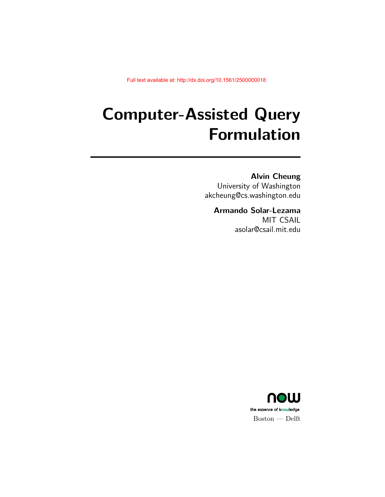# **Computer-Assisted Query Formulation**

### **Alvin Cheung**

University of Washington akcheung@cs.washington.edu

### **Armando Solar-Lezama**

MIT CSAIL asolar@csail.mit.edu

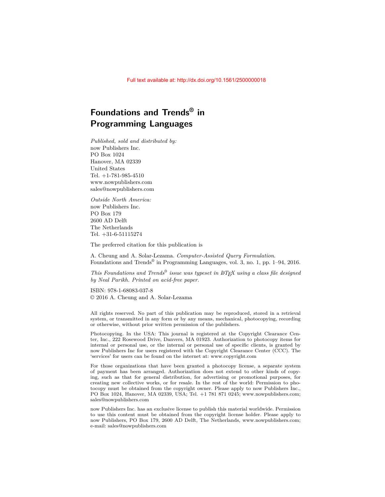# **Foundations and Trends® in Programming Languages**

*Published, sold and distributed by:* now Publishers Inc. PO Box 1024 Hanover, MA 02339 United States Tel. +1-781-985-4510 www.nowpublishers.com sales@nowpublishers.com

*Outside North America:* now Publishers Inc. PO Box 179 2600 AD Delft The Netherlands Tel. +31-6-51115274

The preferred citation for this publication is

A. Cheung and A. Solar-Lezama. *Computer-Assisted Query Formulation*. Foundations and Trends<sup>®</sup> in Programming Languages, vol. 3, no. 1, pp. 1–94, 2016.

*This Foundations and Trends® issue was typeset in LATEX using a class file designed by Neal Parikh. Printed on acid-free paper.*

ISBN: 978-1-68083-037-8 © 2016 A. Cheung and A. Solar-Lezama

All rights reserved. No part of this publication may be reproduced, stored in a retrieval system, or transmitted in any form or by any means, mechanical, photocopying, recording or otherwise, without prior written permission of the publishers.

Photocopying. In the USA: This journal is registered at the Copyright Clearance Center, Inc., 222 Rosewood Drive, Danvers, MA 01923. Authorization to photocopy items for internal or personal use, or the internal or personal use of specific clients, is granted by now Publishers Inc for users registered with the Copyright Clearance Center (CCC). The 'services' for users can be found on the internet at: www.copyright.com

For those organizations that have been granted a photocopy license, a separate system of payment has been arranged. Authorization does not extend to other kinds of copying, such as that for general distribution, for advertising or promotional purposes, for creating new collective works, or for resale. In the rest of the world: Permission to photocopy must be obtained from the copyright owner. Please apply to now Publishers Inc., PO Box 1024, Hanover, MA 02339, USA; Tel. +1 781 871 0245; www.nowpublishers.com; sales@nowpublishers.com

now Publishers Inc. has an exclusive license to publish this material worldwide. Permission to use this content must be obtained from the copyright license holder. Please apply to now Publishers, PO Box 179, 2600 AD Delft, The Netherlands, www.nowpublishers.com; e-mail: sales@nowpublishers.com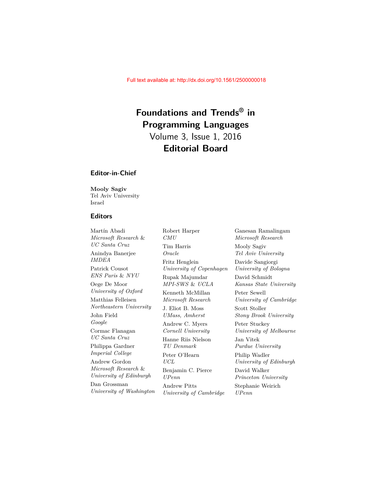# **Foundations and Trends® in Programming Languages**

Volume 3, Issue 1, 2016 **Editorial Board**

#### **Editor-in-Chief**

**Mooly Sagiv** Tel Aviv University Israel

#### **Editors**

Martín Abadi *Microsoft Research* & *UC Santa Cruz* Anindya Banerjee *IMDEA* Patrick Cousot *ENS Paris* & *NYU* Oege De Moor *University of Oxford* Matthias Felleisen *Northeastern University* John Field *Google* Cormac Flanagan *UC Santa Cruz* Philippa Gardner *Imperial College* Andrew Gordon *Microsoft Research* & *University of Edinburgh* Dan Grossman *University of Washington*

Robert Harper *CMU* Tim Harris *Oracle* Fritz Henglein *University of Copenhagen* Rupak Majumdar *MPI-SWS* & *UCLA* Kenneth McMillan *Microsoft Research* J. Eliot B. Moss *UMass, Amherst* Andrew C. Myers *Cornell University* Hanne Riis Nielson *TU Denmark* Peter O'Hearn *UCL* Benjamin C. Pierce *UPenn* Andrew Pitts *University of Cambridge*

Ganesan Ramalingam *Microsoft Research* Mooly Sagiv *Tel Aviv University* Davide Sangiorgi *University of Bologna* David Schmidt *Kansas State University* Peter Sewell *University of Cambridge* Scott Stoller *Stony Brook University* Peter Stuckey *University of Melbourne* Jan Vitek *Purdue University* Philip Wadler *University of Edinburgh* David Walker *Princeton University* Stephanie Weirich *UPenn*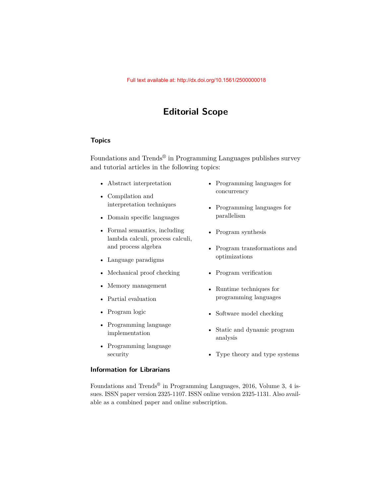# **Editorial Scope**

#### **Topics**

Foundations and Trends® in Programming Languages publishes survey and tutorial articles in the following topics:

- Abstract interpretation
- Compilation and interpretation techniques
- Domain specific languages
- Formal semantics, including lambda calculi, process calculi, and process algebra
- Language paradigms
- Mechanical proof checking
- Memory management
- Partial evaluation
- Program logic
- Programming language implementation
- Programming language security
- Programming languages for concurrency
- Programming languages for parallelism
- Program synthesis
- Program transformations and optimizations
- Program verification
- Runtime techniques for programming languages
- Software model checking
- Static and dynamic program analysis
- Type theory and type systems

#### **Information for Librarians**

Foundations and Trends<sup>®</sup> in Programming Languages, 2016, Volume 3, 4 issues. ISSN paper version 2325-1107. ISSN online version 2325-1131. Also available as a combined paper and online subscription.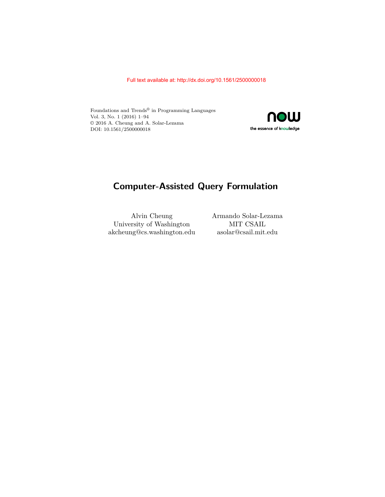Foundations and Trends® in Programming Languages Vol. 3, No. 1 (2016) 1–94 © 2016 A. Cheung and A. Solar-Lezama DOI: 10.1561/2500000018



# **Computer-Assisted Query Formulation**

Alvin Cheung University of Washington akcheung@cs.washington.edu asolar@csail.mit.edu

Armando Solar-Lezama MIT CSAIL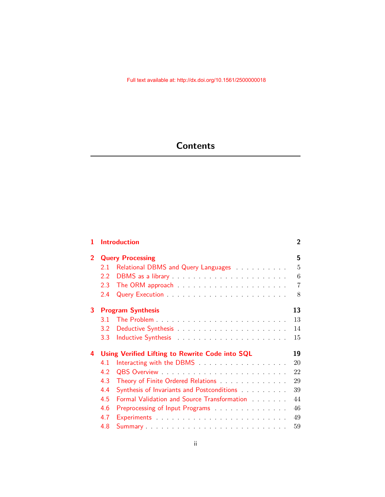# **Contents**

| 1              |                                                       | <b>Introduction</b>                                                                                                     | $\overline{2}$ |  |  |
|----------------|-------------------------------------------------------|-------------------------------------------------------------------------------------------------------------------------|----------------|--|--|
| $\overline{2}$ | <b>Query Processing</b>                               |                                                                                                                         |                |  |  |
|                | 2.1                                                   | Relational DBMS and Query Languages                                                                                     | $\overline{5}$ |  |  |
|                | 2.2                                                   | DBMS as a library entertainment of the state of the state of the state of the state of the state of the state o         | 6              |  |  |
|                | 2.3                                                   |                                                                                                                         | $\overline{7}$ |  |  |
|                | 2.4                                                   |                                                                                                                         | 8              |  |  |
| 3              |                                                       | <b>Program Synthesis</b>                                                                                                | 13             |  |  |
|                | 3.1                                                   |                                                                                                                         | 13             |  |  |
|                | 3.2 <sub>1</sub>                                      |                                                                                                                         | 14             |  |  |
|                | 3.3 <sup>°</sup>                                      | Inductive Synthesis <b>Example 20</b> is a series of the series of the series of the series of the series of the series | 15             |  |  |
| 4              | Using Verified Lifting to Rewrite Code into SQL<br>19 |                                                                                                                         |                |  |  |
|                | 4.1                                                   |                                                                                                                         | 20             |  |  |
|                | 4.2                                                   |                                                                                                                         | 22             |  |  |
|                | 4.3                                                   | Theory of Finite Ordered Relations                                                                                      | 29             |  |  |
|                | 4.4                                                   | Synthesis of Invariants and Postconditions                                                                              | 39             |  |  |
|                | 4.5                                                   | Formal Validation and Source Transformation Alberts Alberts                                                             | 44             |  |  |
|                | 4.6                                                   | Preprocessing of Input Programs and annual contract to the Preprocessing of Input Programs                              | 46             |  |  |
|                | 4.7                                                   | Experiments and a contract of the contract of the contract of the contract of the contract of the contract of           | 49             |  |  |
|                | 4.8                                                   |                                                                                                                         | 59             |  |  |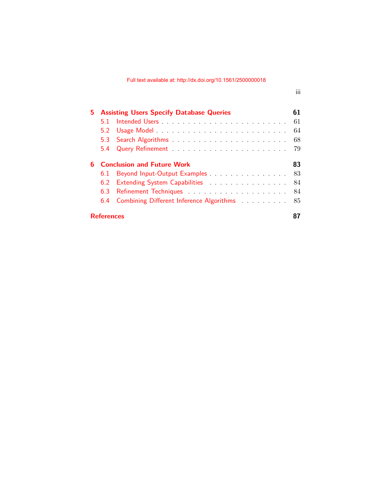| 5. | <b>Assisting Users Specify Database Queries</b> |                                                                                            |     |  |  |
|----|-------------------------------------------------|--------------------------------------------------------------------------------------------|-----|--|--|
|    | 5.1.                                            |                                                                                            | 61  |  |  |
|    |                                                 |                                                                                            | 64  |  |  |
|    |                                                 |                                                                                            | 68  |  |  |
|    |                                                 |                                                                                            |     |  |  |
| 6. | <b>Conclusion and Future Work</b>               |                                                                                            |     |  |  |
|    | 6.1                                             | Beyond Input-Output Examples                                                               | 83  |  |  |
|    | 6.2                                             | Extending System Capabilities                                                              | -84 |  |  |
|    | 6.3                                             |                                                                                            | 84  |  |  |
|    |                                                 | 6.4 Combining Different Inference Algorithms [11] Combining Different Inference Algorithms | 85  |  |  |
|    | <b>References</b>                               |                                                                                            |     |  |  |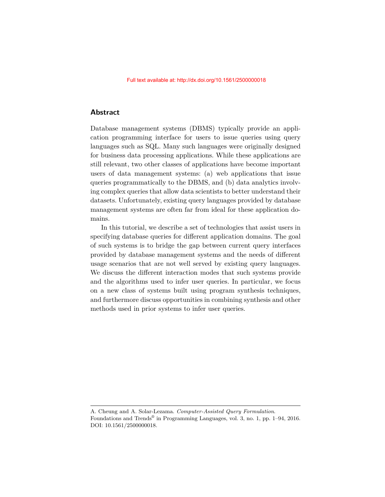#### **Abstract**

Database management systems (DBMS) typically provide an application programming interface for users to issue queries using query languages such as SQL. Many such languages were originally designed for business data processing applications. While these applications are still relevant, two other classes of applications have become important users of data management systems: (a) web applications that issue queries programmatically to the DBMS, and (b) data analytics involving complex queries that allow data scientists to better understand their datasets. Unfortunately, existing query languages provided by database management systems are often far from ideal for these application domains.

In this tutorial, we describe a set of technologies that assist users in specifying database queries for different application domains. The goal of such systems is to bridge the gap between current query interfaces provided by database management systems and the needs of different usage scenarios that are not well served by existing query languages. We discuss the different interaction modes that such systems provide and the algorithms used to infer user queries. In particular, we focus on a new class of systems built using program synthesis techniques, and furthermore discuss opportunities in combining synthesis and other methods used in prior systems to infer user queries.

A. Cheung and A. Solar-Lezama. *Computer-Assisted Query Formulation*. Foundations and Trends<sup>®</sup> in Programming Languages, vol. 3, no. 1, pp. 1–94, 2016. DOI: 10.1561/2500000018.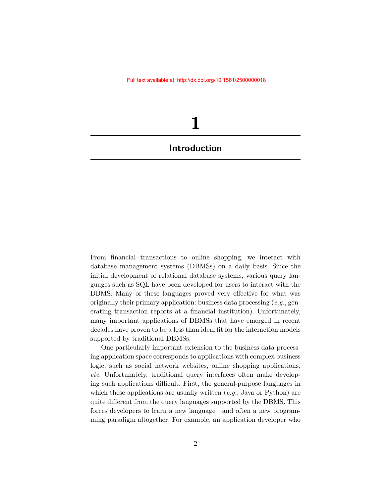# **1**

# <span id="page-8-0"></span>**Introduction**

From financial transactions to online shopping, we interact with database management systems (DBMSs) on a daily basis. Since the initial development of relational database systems, various query languages such as SQL have been developed for users to interact with the DBMS. Many of these languages proved very effective for what was originally their primary application: business data processing (*e.g.*, generating transaction reports at a financial institution). Unfortunately, many important applications of DBMSs that have emerged in recent decades have proven to be a less than ideal fit for the interaction models supported by traditional DBMSs.

One particularly important extension to the business data processing application space corresponds to applications with complex business logic, such as social network websites, online shopping applications, *etc*. Unfortunately, traditional query interfaces often make developing such applications difficult. First, the general-purpose languages in which these applications are usually written (*e.g.*, Java or Python) are quite different from the query languages supported by the DBMS. This forces developers to learn a new language—and often a new programming paradigm altogether. For example, an application developer who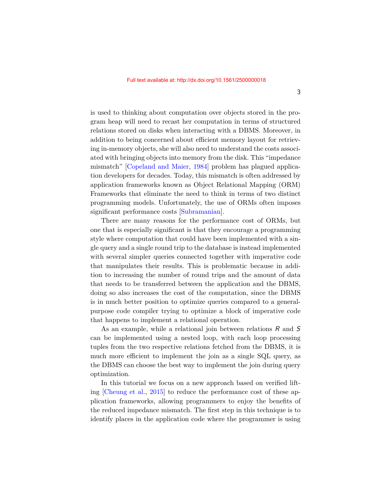is used to thinking about computation over objects stored in the program heap will need to recast her computation in terms of structured relations stored on disks when interacting with a DBMS. Moreover, in addition to being concerned about efficient memory layout for retrieving in-memory objects, she will also need to understand the costs associated with bringing objects into memory from the disk. This "impedance mismatch" [\[Copeland and Maier,](#page-12-0) [1984\]](#page-12-0) problem has plagued application developers for decades. Today, this mismatch is often addressed by application frameworks known as Object Relational Mapping (ORM) Frameworks that eliminate the need to think in terms of two distinct programming models. Unfortunately, the use of ORMs often imposes significant performance costs [\[Subramanian\]](#page-17-0).

There are many reasons for the performance cost of ORMs, but one that is especially significant is that they encourage a programming style where computation that could have been implemented with a single query and a single round trip to the database is instead implemented with several simpler queries connected together with imperative code that manipulates their results. This is problematic because in addition to increasing the number of round trips and the amount of data that needs to be transferred between the application and the DBMS, doing so also increases the cost of the computation, since the DBMS is in much better position to optimize queries compared to a generalpurpose code compiler trying to optimize a block of imperative code that happens to implement a relational operation.

As an example, while a relational join between relations R and S can be implemented using a nested loop, with each loop processing tuples from the two respective relations fetched from the DBMS, it is much more efficient to implement the join as a single SQL query, as the DBMS can choose the best way to implement the join during query optimization.

In this tutorial we focus on a new approach based on verified lifting [\[Cheung et al.,](#page-12-1) [2015\]](#page-12-1) to reduce the performance cost of these application frameworks, allowing programmers to enjoy the benefits of the reduced impedance mismatch. The first step in this technique is to identify places in the application code where the programmer is using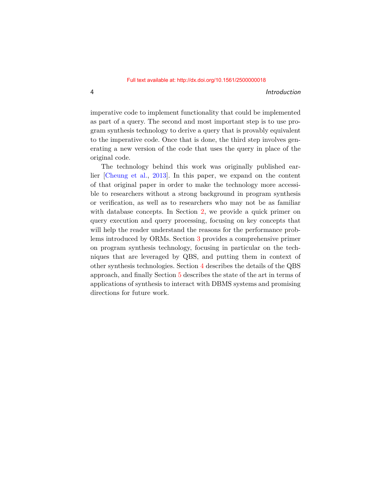4 Introduction

imperative code to implement functionality that could be implemented as part of a query. The second and most important step is to use program synthesis technology to derive a query that is provably equivalent to the imperative code. Once that is done, the third step involves generating a new version of the code that uses the query in place of the original code.

The technology behind this work was originally published earlier [\[Cheung et al.,](#page-12-2) [2013\]](#page-12-2). In this paper, we expand on the content of that original paper in order to make the technology more accessible to researchers without a strong background in program synthesis or verification, as well as to researchers who may not be as familiar with database concepts. In Section [2,](#page--1-0) we provide a quick primer on query execution and query processing, focusing on key concepts that will help the reader understand the reasons for the performance problems introduced by ORMs. Section [3](#page--1-0) provides a comprehensive primer on program synthesis technology, focusing in particular on the techniques that are leveraged by QBS, and putting them in context of other synthesis technologies. Section [4](#page--1-0) describes the details of the QBS approach, and finally Section [5](#page--1-0) describes the state of the art in terms of applications of synthesis to interact with DBMS systems and promising directions for future work.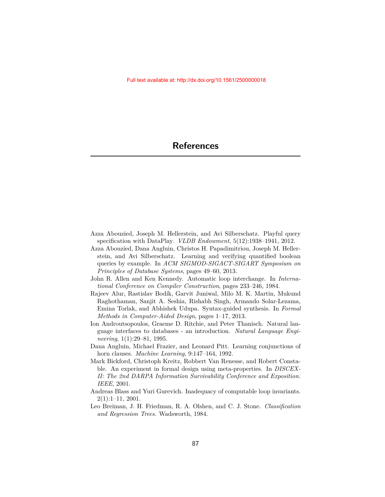- <span id="page-11-0"></span>Azza Abouzied, Joseph M. Hellerstein, and Avi Silberschatz. Playful query specification with DataPlay. *VLDB Endowment*, 5(12):1938–1941, 2012.
- Azza Abouzied, Dana Angluin, Christos H. Papadimitriou, Joseph M. Hellerstein, and Avi Silberschatz. Learning and verifying quantified boolean queries by example. In *ACM SIGMOD-SIGACT-SIGART Symposium on Principles of Database Systems*, pages 49–60, 2013.
- John R. Allen and Ken Kennedy. Automatic loop interchange. In *International Conference on Compiler Construction*, pages 233–246, 1984.
- Rajeev Alur, Rastislav Bodík, Garvit Juniwal, Milo M. K. Martin, Mukund Raghothaman, Sanjit A. Seshia, Rishabh Singh, Armando Solar-Lezama, Emina Torlak, and Abhishek Udupa. Syntax-guided synthesis. In *Formal Methods in Computer-Aided Design*, pages 1–17, 2013.
- Ion Androutsopoulos, Graeme D. Ritchie, and Peter Thanisch. Natural language interfaces to databases - an introduction. *Natural Language Engineering*, 1(1):29–81, 1995.
- Dana Angluin, Michael Frazier, and Leonard Pitt. Learning conjunctions of horn clauses. *Machine Learning*, 9:147–164, 1992.
- Mark Bickford, Christoph Kreitz, Robbert Van Renesse, and Robert Constable. An experiment in formal design using meta-properties. In *DISCEX-II: The 2nd DARPA Information Survivability Conference and Exposition. IEEE*, 2001.
- Andreas Blass and Yuri Gurevich. Inadequacy of computable loop invariants. 2(1):1–11, 2001.
- Leo Breiman, J. H. Friedman, R. A. Olshen, and C. J. Stone. *Classification and Regression Trees*. Wadsworth, 1984.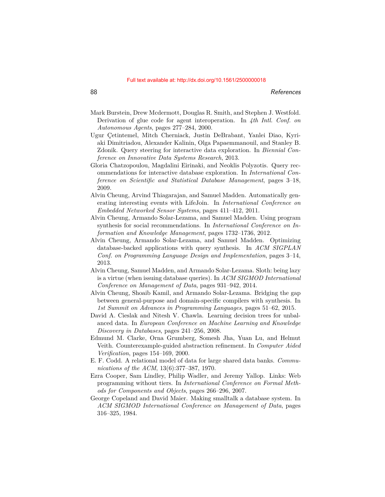- Mark Burstein, Drew Mcdermott, Douglas R. Smith, and Stephen J. Westfold. Derivation of glue code for agent interoperation. In *4th Intl. Conf. on Autonomous Agents*, pages 277–284, 2000.
- Ugur Çetintemel, Mitch Cherniack, Justin DeBrabant, Yanlei Diao, Kyriaki Dimitriadou, Alexander Kalinin, Olga Papaemmanouil, and Stanley B. Zdonik. Query steering for interactive data exploration. In *Biennial Conference on Innovative Data Systems Research*, 2013.
- Gloria Chatzopoulou, Magdalini Eirinaki, and Neoklis Polyzotis. Query recommendations for interactive database exploration. In *International Conference on Scientific and Statistical Database Management*, pages 3–18, 2009.
- Alvin Cheung, Arvind Thiagarajan, and Samuel Madden. Automatically generating interesting events with LifeJoin. In *International Conference on Embedded Networked Sensor Systems*, pages 411–412, 2011.
- Alvin Cheung, Armando Solar-Lezama, and Samuel Madden. Using program synthesis for social recommendations. In *International Conference on Information and Knowledge Management*, pages 1732–1736, 2012.
- <span id="page-12-2"></span>Alvin Cheung, Armando Solar-Lezama, and Samuel Madden. Optimizing database-backed applications with query synthesis. In *ACM SIGPLAN Conf. on Programming Language Design and Implementation*, pages 3–14, 2013.
- Alvin Cheung, Samuel Madden, and Armando Solar-Lezama. Sloth: being lazy is a virtue (when issuing database queries). In *ACM SIGMOD International Conference on Management of Data*, pages 931–942, 2014.
- <span id="page-12-1"></span>Alvin Cheung, Shoaib Kamil, and Armando Solar-Lezama. Bridging the gap between general-purpose and domain-specific compilers with synthesis. In *1st Summit on Advances in Programming Languages*, pages 51–62, 2015.
- David A. Cieslak and Nitesh V. Chawla. Learning decision trees for unbalanced data. In *European Conference on Machine Learning and Knowledge Discovery in Databases*, pages 241–256, 2008.
- Edmund M. Clarke, Orna Grumberg, Somesh Jha, Yuan Lu, and Helmut Veith. Counterexample-guided abstraction refinement. In *Computer Aided Verification*, pages 154–169, 2000.
- E. F. Codd. A relational model of data for large shared data banks. *Communications of the ACM*, 13(6):377–387, 1970.
- Ezra Cooper, Sam Lindley, Philip Wadler, and Jeremy Yallop. Links: Web programming without tiers. In *International Conference on Formal Methods for Components and Objects*, pages 266–296, 2007.
- <span id="page-12-0"></span>George Copeland and David Maier. Making smalltalk a database system. In *ACM SIGMOD International Conference on Management of Data*, pages 316–325, 1984.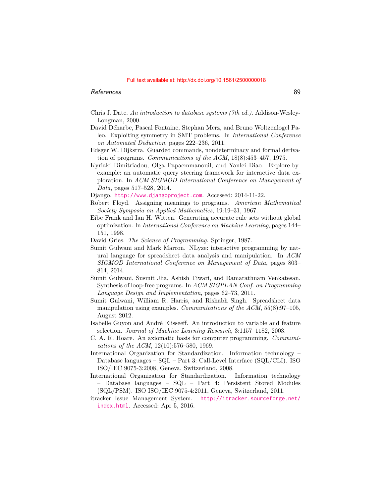- Chris J. Date. *An introduction to database systems (7th ed.)*. Addison-Wesley-Longman, 2000.
- David Déharbe, Pascal Fontaine, Stephan Merz, and Bruno Woltzenlogel Paleo. Exploiting symmetry in SMT problems. In *International Conference on Automated Deduction*, pages 222–236, 2011.
- Edsger W. Dijkstra. Guarded commands, nondeterminacy and formal derivation of programs. *Communications of the ACM*, 18(8):453–457, 1975.
- Kyriaki Dimitriadou, Olga Papaemmanouil, and Yanlei Diao. Explore-byexample: an automatic query steering framework for interactive data exploration. In *ACM SIGMOD International Conference on Management of Data*, pages 517–528, 2014.
- Django. <http://www.djangoproject.com>. Accessed: 2014-11-22.
- Robert Floyd. Assigning meanings to programs. *American Mathematical Society Symposia on Applied Mathematics*, 19:19–31, 1967.
- Eibe Frank and Ian H. Witten. Generating accurate rule sets without global optimization. In *International Conference on Machine Learning*, pages 144– 151, 1998.
- David Gries. *The Science of Programming*. Springer, 1987.
- Sumit Gulwani and Mark Marron. NLyze: interactive programming by natural language for spreadsheet data analysis and manipulation. In *ACM SIGMOD International Conference on Management of Data*, pages 803– 814, 2014.
- Sumit Gulwani, Susmit Jha, Ashish Tiwari, and Ramarathnam Venkatesan. Synthesis of loop-free programs. In *ACM SIGPLAN Conf. on Programming Language Design and Implementation*, pages 62–73, 2011.
- Sumit Gulwani, William R. Harris, and Rishabh Singh. Spreadsheet data manipulation using examples. *Communications of the ACM*, 55(8):97–105, August 2012.
- Isabelle Guyon and André Elisseeff. An introduction to variable and feature selection. *Journal of Machine Learning Research*, 3:1157–1182, 2003.
- C. A. R. Hoare. An axiomatic basis for computer programming. *Communications of the ACM*, 12(10):576–580, 1969.
- International Organization for Standardization. Information technology Database languages – SQL – Part 3: Call-Level Interface (SQL/CLI). ISO ISO/IEC 9075-3:2008, Geneva, Switzerland, 2008.
- International Organization for Standardization. Information technology – Database languages – SQL – Part 4: Persistent Stored Modules (SQL/PSM). ISO ISO/IEC 9075-4:2011, Geneva, Switzerland, 2011.
- itracker Issue Management System. [http://itracker.sourceforge.net/](http://itracker.sourceforge.net/index.html) [index.html](http://itracker.sourceforge.net/index.html). Accessed: Apr 5, 2016.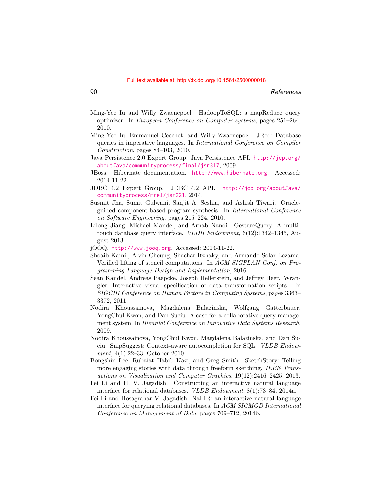- Ming-Yee Iu and Willy Zwaenepoel. HadoopToSQL: a mapReduce query optimizer. In *European Conference on Computer systems*, pages 251–264, 2010.
- Ming-Yee Iu, Emmanuel Cecchet, and Willy Zwaenepoel. JReq: Database queries in imperative languages. In *International Conference on Compiler Construction*, pages 84–103, 2010.
- Java Persistence 2.0 Expert Group. Java Persistence API. [http://jcp.org/](http://jcp.org/aboutJava/communityprocess/final/jsr317) [aboutJava/communityprocess/final/jsr317](http://jcp.org/aboutJava/communityprocess/final/jsr317), 2009.
- JBoss. Hibernate documentation. <http://www.hibernate.org>. Accessed: 2014-11-22.
- JDBC 4.2 Expert Group. JDBC 4.2 API. [http://jcp.org/aboutJava/](http://jcp.org/aboutJava/communityprocess/mrel/jsr221) [communityprocess/mrel/jsr221](http://jcp.org/aboutJava/communityprocess/mrel/jsr221), 2014.
- Susmit Jha, Sumit Gulwani, Sanjit A. Seshia, and Ashish Tiwari. Oracleguided component-based program synthesis. In *International Conference on Software Engineering*, pages 215–224, 2010.
- Lilong Jiang, Michael Mandel, and Arnab Nandi. GestureQuery: A multitouch database query interface. *VLDB Endowment*, 6(12):1342–1345, August 2013.
- jOOQ. <http://www.jooq.org>. Accessed: 2014-11-22.
- Shoaib Kamil, Alvin Cheung, Shachar Itzhaky, and Armando Solar-Lezama. Verified lifting of stencil computations. In *ACM SIGPLAN Conf. on Programming Language Design and Implementation*, 2016.
- Sean Kandel, Andreas Paepcke, Joseph Hellerstein, and Jeffrey Heer. Wrangler: Interactive visual specification of data transformation scripts. In *SIGCHI Conference on Human Factors in Computing Systems*, pages 3363– 3372, 2011.
- Nodira Khoussainova, Magdalena Balazinska, Wolfgang Gatterbauer, YongChul Kwon, and Dan Suciu. A case for a collaborative query management system. In *Biennial Conference on Innovative Data Systems Research*, 2009.
- Nodira Khoussainova, YongChul Kwon, Magdalena Balazinska, and Dan Suciu. SnipSuggest: Context-aware autocompletion for SQL. *VLDB Endowment*, 4(1):22–33, October 2010.
- Bongshin Lee, Rubaiat Habib Kazi, and Greg Smith. SketchStory: Telling more engaging stories with data through freeform sketching. *IEEE Transactions on Visualization and Computer Graphics*, 19(12):2416–2425, 2013.
- Fei Li and H. V. Jagadish. Constructing an interactive natural language interface for relational databases. *VLDB Endowment*, 8(1):73–84, 2014a.
- Fei Li and Hosagrahar V. Jagadish. NaLIR: an interactive natural language interface for querying relational databases. In *ACM SIGMOD International Conference on Management of Data*, pages 709–712, 2014b.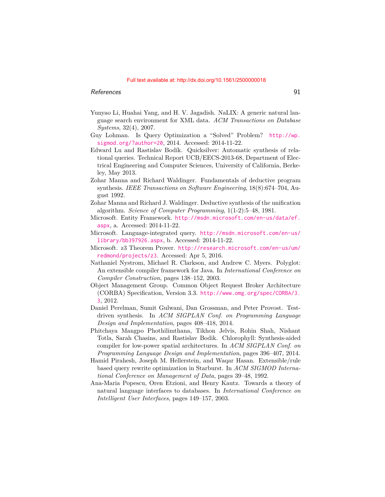- Yunyao Li, Huahai Yang, and H. V. Jagadish. NaLIX: A generic natural language search environment for XML data. *ACM Transactions on Database Systems*, 32(4), 2007.
- Guy Lohman. Is Query Optimization a "Solved" Problem? [http://wp.](http://wp.sigmod.org/?author=20) [sigmod.org/?author=20](http://wp.sigmod.org/?author=20), 2014. Accessed: 2014-11-22.
- Edward Lu and Rastislav Bodík. Quicksilver: Automatic synthesis of relational queries. Technical Report UCB/EECS-2013-68, Department of Electrical Engineering and Computer Sciences, University of California, Berkeley, May 2013.
- Zohar Manna and Richard Waldinger. Fundamentals of deductive program synthesis. *IEEE Transactions on Software Engineering*, 18(8):674–704, August 1992.
- Zohar Manna and Richard J. Waldinger. Deductive synthesis of the unification algorithm. *Science of Computer Programming*, 1(1-2):5–48, 1981.
- Microsoft. Entity Framework. [http://msdn.microsoft.com/en-us/data/ef.](http://msdn.microsoft.com/en-us/data/ef.aspx) [aspx](http://msdn.microsoft.com/en-us/data/ef.aspx), a. Accessed: 2014-11-22.
- Microsoft. Language-integrated query. [http://msdn.microsoft.com/en-us/](http://msdn.microsoft.com/en-us/library/bb397926.aspx) [library/bb397926.aspx](http://msdn.microsoft.com/en-us/library/bb397926.aspx), b. Accessed: 2014-11-22.
- Microsoft. z3 Theorem Prover. [http://research.microsoft.com/en-us/um/](http://research.microsoft.com/en-us/um/redmond/projects/z3) [redmond/projects/z3](http://research.microsoft.com/en-us/um/redmond/projects/z3). Accessed: Apr 5, 2016.
- Nathaniel Nystrom, Michael R. Clarkson, and Andrew C. Myers. Polyglot: An extensible compiler framework for Java. In *International Conference on Compiler Construction*, pages 138–152, 2003.
- Object Management Group. Common Object Request Broker Architecture (CORBA) Specification, Version 3.3. [http://www.omg.org/spec/CORBA/3.](http://www.omg.org/spec/CORBA/3.3) [3](http://www.omg.org/spec/CORBA/3.3), 2012.
- Daniel Perelman, Sumit Gulwani, Dan Grossman, and Peter Provost. Testdriven synthesis. In *ACM SIGPLAN Conf. on Programming Language Design and Implementation*, pages 408–418, 2014.
- Phitchaya Mangpo Phothilimthana, Tikhon Jelvis, Rohin Shah, Nishant Totla, Sarah Chasins, and Rastislav Bodik. Chlorophyll: Synthesis-aided compiler for low-power spatial architectures. In *ACM SIGPLAN Conf. on Programming Language Design and Implementation*, pages 396–407, 2014.
- Hamid Pirahesh, Joseph M. Hellerstein, and Waqar Hasan. Extensible/rule based query rewrite optimization in Starburst. In *ACM SIGMOD International Conference on Management of Data*, pages 39–48, 1992.
- Ana-Maria Popescu, Oren Etzioni, and Henry Kautz. Towards a theory of natural language interfaces to databases. In *International Conference on Intelligent User Interfaces*, pages 149–157, 2003.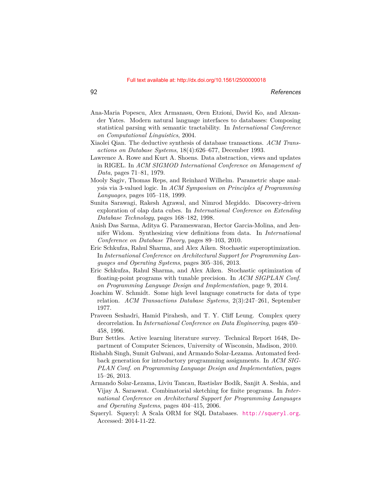- Ana-Maria Popescu, Alex Armanasu, Oren Etzioni, David Ko, and Alexander Yates. Modern natural language interfaces to databases: Composing statistical parsing with semantic tractability. In *International Conference on Computational Linguistics*, 2004.
- Xiaolei Qian. The deductive synthesis of database transactions. *ACM Transactions on Database Systems*, 18(4):626–677, December 1993.
- Lawrence A. Rowe and Kurt A. Shoens. Data abstraction, views and updates in RIGEL. In *ACM SIGMOD International Conference on Management of Data*, pages 71–81, 1979.
- Mooly Sagiv, Thomas Reps, and Reinhard Wilhelm. Parametric shape analysis via 3-valued logic. In *ACM Symposium on Principles of Programming Languages*, pages 105–118, 1999.
- Sunita Sarawagi, Rakesh Agrawal, and Nimrod Megiddo. Discovery-driven exploration of olap data cubes. In *International Conference on Extending Database Technology*, pages 168–182, 1998.
- Anish Das Sarma, Aditya G. Parameswaran, Hector Garcia-Molina, and Jennifer Widom. Synthesizing view definitions from data. In *International Conference on Database Theory*, pages 89–103, 2010.
- Eric Schkufza, Rahul Sharma, and Alex Aiken. Stochastic superoptimization. In *International Conference on Architectural Support for Programming Languages and Operating Systems*, pages 305–316, 2013.
- Eric Schkufza, Rahul Sharma, and Alex Aiken. Stochastic optimization of floating-point programs with tunable precision. In *ACM SIGPLAN Conf. on Programming Language Design and Implementation*, page 9, 2014.
- Joachim W. Schmidt. Some high level language constructs for data of type relation. *ACM Transactions Database Systems*, 2(3):247–261, September 1977.
- Praveen Seshadri, Hamid Pirahesh, and T. Y. Cliff Leung. Complex query decorrelation. In *International Conference on Data Engineering*, pages 450– 458, 1996.
- Burr Settles. Active learning literature survey. Technical Report 1648, Department of Computer Sciences, University of Wisconsin, Madison, 2010.
- Rishabh Singh, Sumit Gulwani, and Armando Solar-Lezama. Automated feedback generation for introductory programming assignments. In *ACM SIG-PLAN Conf. on Programming Language Design and Implementation*, pages 15–26, 2013.
- Armando Solar-Lezama, Liviu Tancau, Rastislav Bodík, Sanjit A. Seshia, and Vijay A. Saraswat. Combinatorial sketching for finite programs. In *International Conference on Architectural Support for Programming Languages and Operating Systems*, pages 404–415, 2006.
- Squeryl. Squeryl: A Scala ORM for SQL Databases. <http://squeryl.org>. Accessed: 2014-11-22.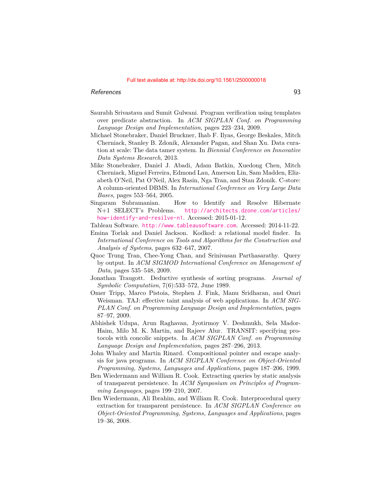- Saurabh Srivastava and Sumit Gulwani. Program verification using templates over predicate abstraction. In *ACM SIGPLAN Conf. on Programming Language Design and Implementation*, pages 223–234, 2009.
- Michael Stonebraker, Daniel Bruckner, Ihab F. Ilyas, George Beskales, Mitch Cherniack, Stanley B. Zdonik, Alexander Pagan, and Shan Xu. Data curation at scale: The data tamer system. In *Biennial Conference on Innovative Data Systems Research*, 2013.
- Mike Stonebraker, Daniel J. Abadi, Adam Batkin, Xuedong Chen, Mitch Cherniack, Miguel Ferreira, Edmond Lau, Amerson Lin, Sam Madden, Elizabeth O'Neil, Pat O'Neil, Alex Rasin, Nga Tran, and Stan Zdonik. C-store: A column-oriented DBMS. In *International Conference on Very Large Data Bases*, pages 553–564, 2005.
- <span id="page-17-0"></span>Singaram Subramanian. How to Identify and Resolve Hibernate N+1 SELECT's Problems. [http://architects.dzone.com/articles/](http://architects.dzone.com/articles/how-identify-and-resilve-n1) [how-identify-and-resilve-n1](http://architects.dzone.com/articles/how-identify-and-resilve-n1). Accessed: 2015-01-12.
- Tableau Software. <http://www.tableausoftware.com>. Accessed: 2014-11-22.
- Emina Torlak and Daniel Jackson. Kodkod: a relational model finder. In *International Conference on Tools and Algorithms for the Construction and Analysis of Systems*, pages 632–647, 2007.
- Quoc Trung Tran, Chee-Yong Chan, and Srinivasan Parthasarathy. Query by output. In *ACM SIGMOD International Conference on Management of Data*, pages 535–548, 2009.
- Jonathan Traugott. Deductive synthesis of sorting programs. *Journal of Symbolic Computation*, 7(6):533–572, June 1989.
- Omer Tripp, Marco Pistoia, Stephen J. Fink, Manu Sridharan, and Omri Weisman. TAJ: effective taint analysis of web applications. In *ACM SIG-PLAN Conf. on Programming Language Design and Implementation*, pages 87–97, 2009.
- Abhishek Udupa, Arun Raghavan, Jyotirmoy V. Deshmukh, Sela Mador-Haim, Milo M. K. Martin, and Rajeev Alur. TRANSIT: specifying protocols with concolic snippets. In *ACM SIGPLAN Conf. on Programming Language Design and Implementation*, pages 287–296, 2013.
- John Whaley and Martin Rinard. Compositional pointer and escape analysis for java programs. In *ACM SIGPLAN Conference on Object-Oriented Programming, Systems, Languages and Applications*, pages 187–206, 1999.
- Ben Wiedermann and William R. Cook. Extracting queries by static analysis of transparent persistence. In *ACM Symposium on Principles of Programming Languages*, pages 199–210, 2007.
- Ben Wiedermann, Ali Ibrahim, and William R. Cook. Interprocedural query extraction for transparent persistence. In *ACM SIGPLAN Conference on Object-Oriented Programming, Systems, Languages and Applications*, pages 19–36, 2008.